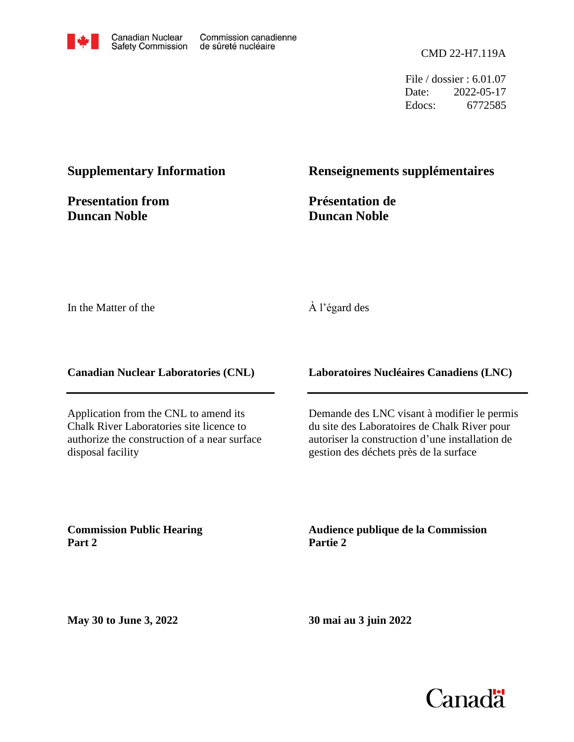

CMD 22-H7.119A

File / dossier : 6.01.07 Date: 2022-05-17 Edocs: 6772585

### **Supplementary Information**

**Presentation from Duncan Noble**

### **Renseignements supplémentaires**

**Présentation de Duncan Noble**

In the Matter of the

### À l'égard des

**Canadian Nuclear Laboratories (CNL)**

Application from the CNL to amend its Chalk River Laboratories site licence to authorize the construction of a near surface disposal facility

**Laboratoires Nucléaires Canadiens (LNC)**

Demande des LNC visant à modifier le permis du site des Laboratoires de Chalk River pour autoriser la construction d'une installation de gestion des déchets près de la surface

**Commission Public Hearing Part 2**

**Audience publique de la Commission Partie 2**

**May 30 to June 3, 2022**

**30 mai au 3 juin 2022**

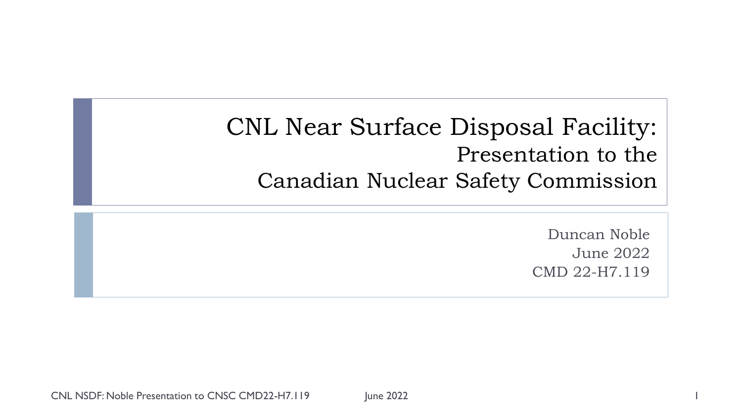CNL Near Surface Disposal Facility: Presentation to the Canadian Nuclear Safety Commission

> Duncan Noble June 2022 CMD 22-H7.119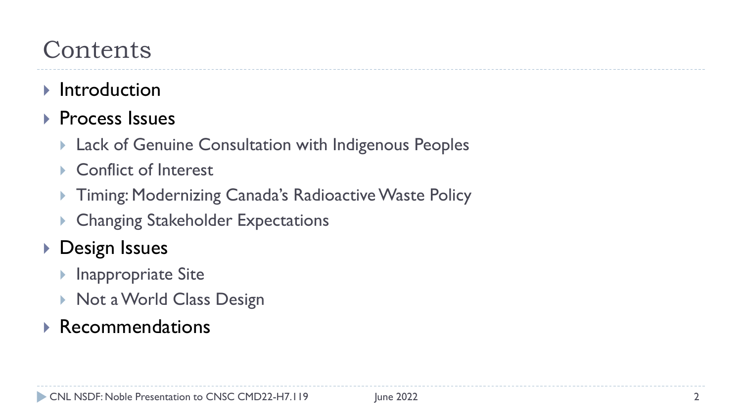# **Contents**

- $\blacktriangleright$  Introduction
- ▶ Process Issues
	- Lack of Genuine Consultation with Indigenous Peoples
	- Conflict of Interest
	- Timing: Modernizing Canada's Radioactive Waste Policy
	- Changing Stakeholder Expectations
- **Design Issues** 
	- Inappropriate Site
	- ▶ Not a World Class Design

## Recommendations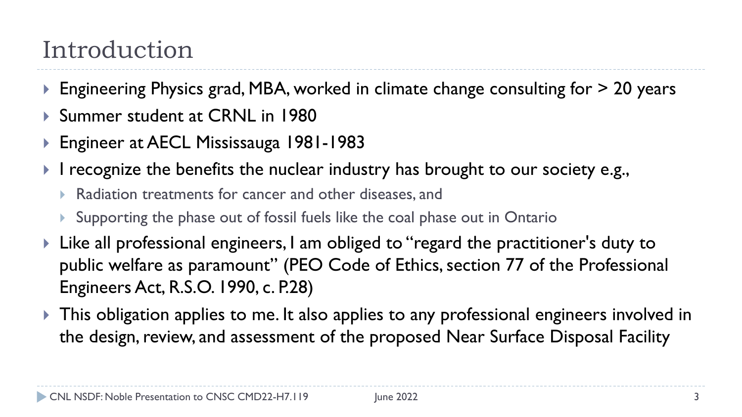# Introduction

- ▶ Engineering Physics grad, MBA, worked in climate change consulting for > 20 years
- ▶ Summer student at CRNL in 1980
- ▶ Engineer at AECL Mississauga 1981-1983
- I recognize the benefits the nuclear industry has brought to our society e.g.,
	- Radiation treatments for cancer and other diseases, and
	- Supporting the phase out of fossil fuels like the coal phase out in Ontario
- ▶ Like all professional engineers, I am obliged to "regard the practitioner's duty to public welfare as paramount" (PEO Code of Ethics, section 77 of the Professional Engineers Act, R.S.O. 1990, c. P.28)
- This obligation applies to me. It also applies to any professional engineers involved in the design, review, and assessment of the proposed Near Surface Disposal Facility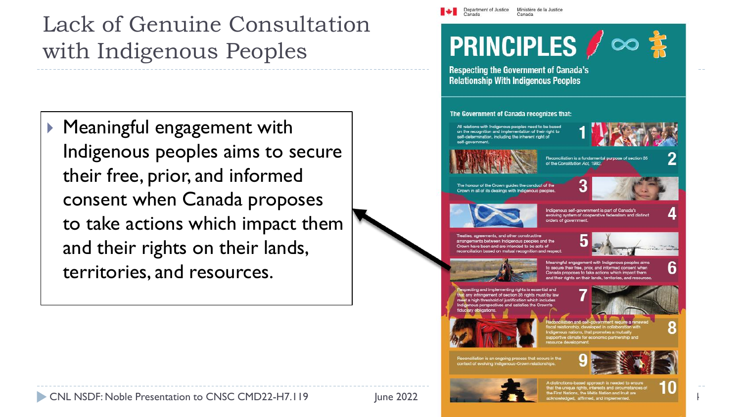## Lack of Genuine Consultation with Indigenous Peoples

 Meaningful engagement with Indigenous peoples aims to secure their free, prior, and informed consent when Canada proposes to take actions which impact them and their rights on their lands, territories, and resources.



Department of Justice

Canada

Ministère de la Justice

Canada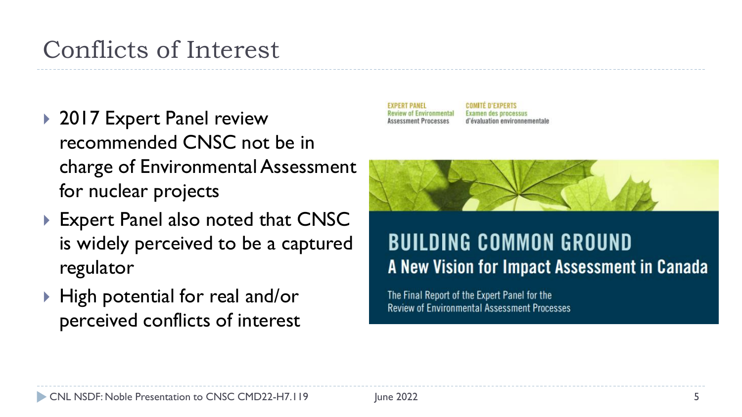# Conflicts of Interest

- ▶ 2017 Expert Panel review recommended CNSC not be in charge of Environmental Assessment for nuclear projects
- ▶ Expert Panel also noted that CNSC is widely perceived to be a captured regulator
- ▶ High potential for real and/or perceived conflicts of interest



## **BUILDING COMMON GROUND** A New Vision for Impact Assessment in Canada

The Final Report of the Expert Panel for the **Review of Environmental Assessment Processes**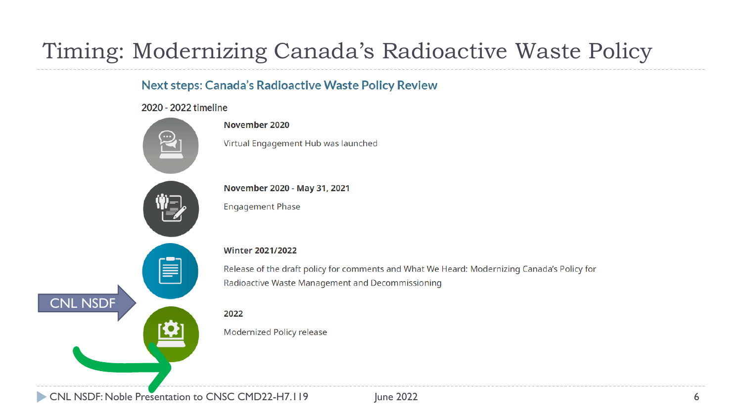## Timing: Modernizing Canada's Radioactive Waste Policy

## **Next steps: Canada's Radioactive Waste Policy Review**

### 2020 - 2022 timeline



#### November 2020

Virtual Engagement Hub was launched

November 2020 - May 31, 2021

**Engagement Phase** 

### **Winter 2021/2022**

Release of the draft policy for comments and What We Heard: Modernizing Canada's Policy for Radioactive Waste Management and Decommissioning

### 2022

Modernized Policy release

NL NSDF: Noble Presentation to CNSC CMD22-H7.119 June 2022 **CONDUST 100 CONTEXAS 6**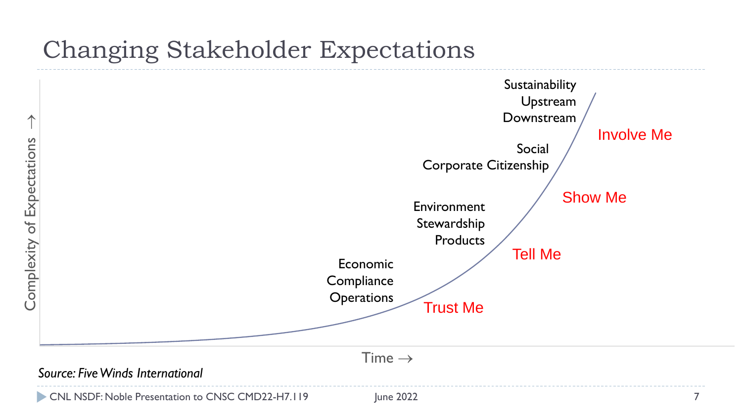## Changing Stakeholder Expectations



CNL NSDF: Noble Presentation to CNSC CMD22-H7.119 June 2022 June 2022 7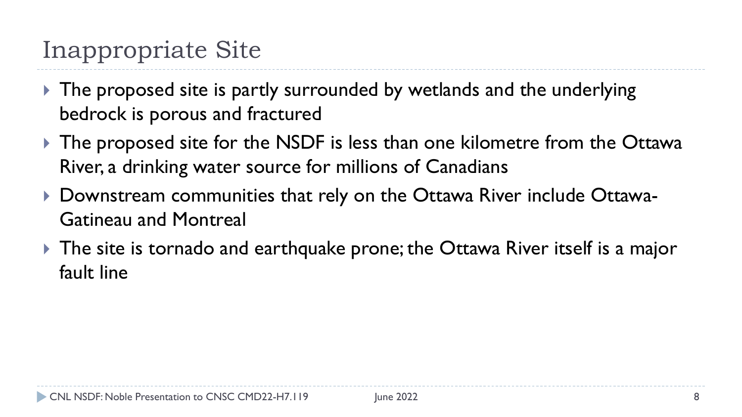# Inappropriate Site

- ▶ The proposed site is partly surrounded by wetlands and the underlying bedrock is porous and fractured
- ▶ The proposed site for the NSDF is less than one kilometre from the Ottawa River, a drinking water source for millions of Canadians
- ▶ Downstream communities that rely on the Ottawa River include Ottawa-Gatineau and Montreal
- ▶ The site is tornado and earthquake prone; the Ottawa River itself is a major fault line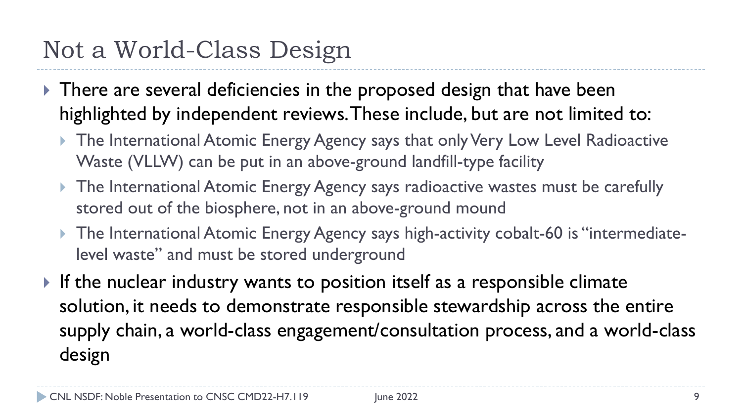# Not a World-Class Design

- There are several deficiencies in the proposed design that have been highlighted by independent reviews. These include, but are not limited to:
	- ▶ The International Atomic Energy Agency says that only Very Low Level Radioactive Waste (VLLW) can be put in an above-ground landfill-type facility
	- **The International Atomic Energy Agency says radioactive wastes must be carefully** stored out of the biosphere, not in an above-ground mound
	- ▶ The International Atomic Energy Agency says high-activity cobalt-60 is "intermediatelevel waste" and must be stored underground
- If the nuclear industry wants to position itself as a responsible climate solution, it needs to demonstrate responsible stewardship across the entire supply chain, a world-class engagement/consultation process, and a world-class design